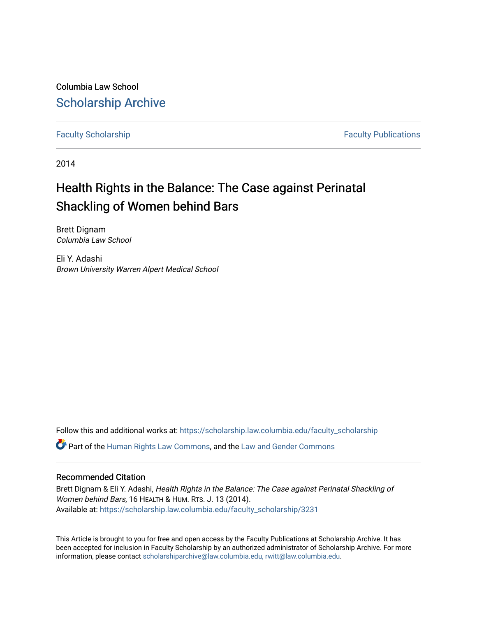Columbia Law School [Scholarship Archive](https://scholarship.law.columbia.edu/) 

[Faculty Scholarship](https://scholarship.law.columbia.edu/faculty_scholarship) **Faculty Scholarship Faculty Publications** 

2014

## Health Rights in the Balance: The Case against Perinatal Shackling of Women behind Bars

Brett Dignam Columbia Law School

Eli Y. Adashi Brown University Warren Alpert Medical School

Follow this and additional works at: [https://scholarship.law.columbia.edu/faculty\\_scholarship](https://scholarship.law.columbia.edu/faculty_scholarship?utm_source=scholarship.law.columbia.edu%2Ffaculty_scholarship%2F3231&utm_medium=PDF&utm_campaign=PDFCoverPages)

Part of the [Human Rights Law Commons,](http://network.bepress.com/hgg/discipline/847?utm_source=scholarship.law.columbia.edu%2Ffaculty_scholarship%2F3231&utm_medium=PDF&utm_campaign=PDFCoverPages) and the [Law and Gender Commons](http://network.bepress.com/hgg/discipline/1298?utm_source=scholarship.law.columbia.edu%2Ffaculty_scholarship%2F3231&utm_medium=PDF&utm_campaign=PDFCoverPages) 

#### Recommended Citation

Brett Dignam & Eli Y. Adashi, Health Rights in the Balance: The Case against Perinatal Shackling of Women behind Bars, 16 HEALTH & HUM. RTS. J. 13 (2014). Available at: [https://scholarship.law.columbia.edu/faculty\\_scholarship/3231](https://scholarship.law.columbia.edu/faculty_scholarship/3231?utm_source=scholarship.law.columbia.edu%2Ffaculty_scholarship%2F3231&utm_medium=PDF&utm_campaign=PDFCoverPages)

This Article is brought to you for free and open access by the Faculty Publications at Scholarship Archive. It has been accepted for inclusion in Faculty Scholarship by an authorized administrator of Scholarship Archive. For more information, please contact [scholarshiparchive@law.columbia.edu, rwitt@law.columbia.edu](mailto:scholarshiparchive@law.columbia.edu,%20rwitt@law.columbia.edu).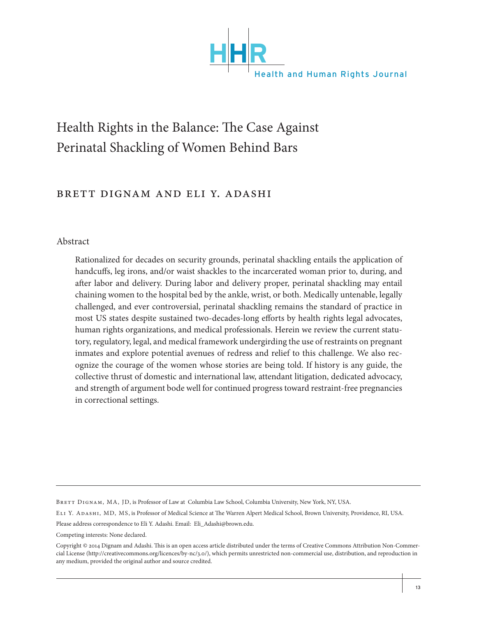

# Health Rights in the Balance: The Case Against Perinatal Shackling of Women Behind Bars

## Brett Dignam and Eli Y. Adashi

### Abstract

Rationalized for decades on security grounds, perinatal shackling entails the application of handcuffs, leg irons, and/or waist shackles to the incarcerated woman prior to, during, and after labor and delivery. During labor and delivery proper, perinatal shackling may entail chaining women to the hospital bed by the ankle, wrist, or both. Medically untenable, legally challenged, and ever controversial, perinatal shackling remains the standard of practice in most US states despite sustained two-decades-long efforts by health rights legal advocates, human rights organizations, and medical professionals. Herein we review the current statutory, regulatory, legal, and medical framework undergirding the use of restraints on pregnant inmates and explore potential avenues of redress and relief to this challenge. We also recognize the courage of the women whose stories are being told. If history is any guide, the collective thrust of domestic and international law, attendant litigation, dedicated advocacy, and strength of argument bode well for continued progress toward restraint-free pregnancies in correctional settings.

Competing interests: None declared.

BRETT DIGNAM, MA, JD, is Professor of Law at Columbia Law School, Columbia University, New York, NY, USA.

Eli Y. Adashi, MD, MS, is Professor of Medical Science at The Warren Alpert Medical School, Brown University, Providence, RI, USA.

Please address correspondence to Eli Y. Adashi. Email: Eli\_Adashi@brown.edu.

Copyright © 2014 Dignam and Adashi. This is an open access article distributed under the terms of Creative Commons Attribution Non-Commercial License (http://creativecommons.org/licences/by-nc/3.0/), which permits unrestricted non-commercial use, distribution, and reproduction in any medium, provided the original author and source credited.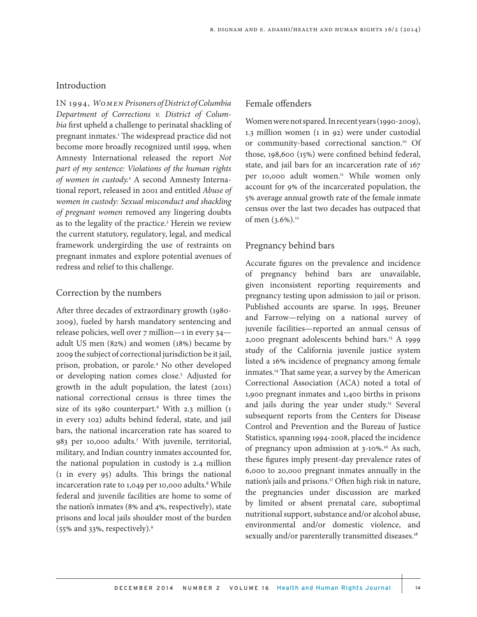#### Introduction

IN 1994, *Women Prisoners of District of Columbia Department of Corrections v. District of Columbia* first upheld a challenge to perinatal shackling of pregnant inmates.<sup>1</sup> The widespread practice did not become more broadly recognized until 1999, when Amnesty International released the report *Not part of my sentence: Violations of the human rights of women in custody.*<sup>2</sup> A second Amnesty International report, released in 2001 and entitled *Abuse of women in custody: Sexual misconduct and shackling of pregnant women* removed any lingering doubts as to the legality of the practice.<sup>3</sup> Herein we review the current statutory, regulatory, legal, and medical framework undergirding the use of restraints on pregnant inmates and explore potential avenues of redress and relief to this challenge.

#### Correction by the numbers

After three decades of extraordinary growth (1980- 2009), fueled by harsh mandatory sentencing and release policies, well over 7 million—1 in every 34 adult US men (82%) and women (18%) became by 2009 the subject of correctional jurisdiction be it jail, prison, probation, or parole.4 No other developed or developing nation comes close.<sup>5</sup> Adjusted for growth in the adult population, the latest (2011) national correctional census is three times the size of its 1980 counterpart.<sup>6</sup> With 2.3 million (1 in every 102) adults behind federal, state, and jail bars, the national incarceration rate has soared to 983 per 10,000 adults.7 With juvenile, territorial, military, and Indian country inmates accounted for, the national population in custody is 2.4 million (1 in every 95) adults. This brings the national incarceration rate to 1,049 per 10,000 adults.<sup>8</sup> While federal and juvenile facilities are home to some of the nation's inmates (8% and 4%, respectively), state prisons and local jails shoulder most of the burden (55% and 33%, respectively).9

#### Female offenders

Women were not spared. In recent years (1990-2009), 1.3 million women (1 in 92) were under custodial or community-based correctional sanction.10 Of those, 198,600 (15%) were confined behind federal, state, and jail bars for an incarceration rate of 167 per 10,000 adult women.<sup>11</sup> While women only account for 9% of the incarcerated population, the 5% average annual growth rate of the female inmate census over the last two decades has outpaced that of men (3.6%).<sup>12</sup>

## Pregnancy behind bars

Accurate figures on the prevalence and incidence of pregnancy behind bars are unavailable, given inconsistent reporting requirements and pregnancy testing upon admission to jail or prison. Published accounts are sparse. In 1995, Breuner and Farrow—relying on a national survey of juvenile facilities—reported an annual census of 2,000 pregnant adolescents behind bars.<sup>13</sup> A 1999 study of the California juvenile justice system listed a 16% incidence of pregnancy among female inmates.<sup>14</sup> That same year, a survey by the American Correctional Association (ACA) noted a total of 1,900 pregnant inmates and 1,400 births in prisons and jails during the year under study.<sup>15</sup> Several subsequent reports from the Centers for Disease Control and Prevention and the Bureau of Justice Statistics, spanning 1994-2008, placed the incidence of pregnancy upon admission at 3-10%.16 As such, these figures imply present-day prevalence rates of 6,000 to 20,000 pregnant inmates annually in the nation's jails and prisons.<sup>17</sup> Often high risk in nature, the pregnancies under discussion are marked by limited or absent prenatal care, suboptimal nutritional support, substance and/or alcohol abuse, environmental and/or domestic violence, and sexually and/or parenterally transmitted diseases.<sup>18</sup>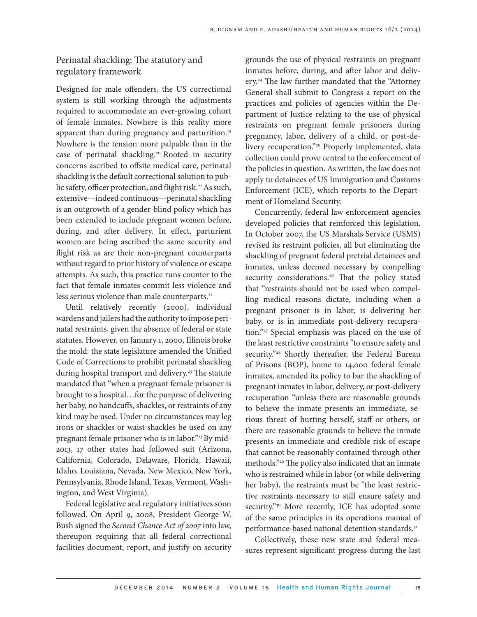Perinatal shackling: The statutory and regulatory framework

Designed for male offenders, the US correctional system is still working through the adjustments required to accommodate an ever-growing cohort of female inmates. Nowhere is this reality more apparent than during pregnancy and parturition.<sup>19</sup> Nowhere is the tension more palpable than in the case of perinatal shackling.20 Rooted in security concerns ascribed to offsite medical care, perinatal shackling is the default correctional solution to public safety, officer protection, and flight risk.<sup>21</sup> As such, extensive—indeed continuous—perinatal shackling is an outgrowth of a gender-blind policy which has been extended to include pregnant women before, during, and after delivery. In effect, parturient women are being ascribed the same security and flight risk as are their non-pregnant counterparts without regard to prior history of violence or escape attempts. As such, this practice runs counter to the fact that female inmates commit less violence and less serious violence than male counterparts.<sup>22</sup>

Until relatively recently (2000), individual wardens and jailers had the authority to impose perinatal restraints, given the absence of federal or state statutes. However, on January 1, 2000, Illinois broke the mold: the state legislature amended the Unified Code of Corrections to prohibit perinatal shackling during hospital transport and delivery.<sup>23</sup> The statute mandated that "when a pregnant female prisoner is brought to a hospital…for the purpose of delivering her baby, no handcuffs, shackles, or restraints of any kind may be used. Under no circumstances may leg irons or shackles or waist shackles be used on any pregnant female prisoner who is in labor."<sup>23</sup> By mid-2013, 17 other states had followed suit (Arizona, California, Colorado, Delaware, Florida, Hawaii, Idaho, Louisiana, Nevada, New Mexico, New York, Pennsylvania, Rhode Island, Texas, Vermont, Washington, and West Virginia).

Federal legislative and regulatory initiatives soon followed. On April 9, 2008, President George W. Bush signed the *Second Chance Act of 2007* into law, thereupon requiring that all federal correctional facilities document, report, and justify on security grounds the use of physical restraints on pregnant inmates before, during, and after labor and delivery.24 The law further mandated that the "Attorney General shall submit to Congress a report on the practices and policies of agencies within the Department of Justice relating to the use of physical restraints on pregnant female prisoners during pregnancy, labor, delivery of a child, or post-delivery recuperation."<sup>25</sup> Properly implemented, data collection could prove central to the enforcement of the policies in question. As written, the law does not apply to detainees of US Immigration and Customs Enforcement (ICE), which reports to the Department of Homeland Security.

Concurrently, federal law enforcement agencies developed policies that reinforced this legislation. In October 2007, the US Marshals Service (USMS) revised its restraint policies, all but eliminating the shackling of pregnant federal pretrial detainees and inmates, unless deemed necessary by compelling security considerations.<sup>26</sup> That the policy stated that "restraints should not be used when compelling medical reasons dictate, including when a pregnant prisoner is in labor, is delivering her baby, or is in immediate post-delivery recuperation."27 Special emphasis was placed on the use of the least restrictive constraints "to ensure safety and security."<sup>28</sup> Shortly thereafter, the Federal Bureau of Prisons (BOP), home to 14,000 federal female inmates, amended its policy to bar the shackling of pregnant inmates in labor, delivery, or post-delivery recuperation "unless there are reasonable grounds to believe the inmate presents an immediate, serious threat of hurting herself, staff or others, or there are reasonable grounds to believe the inmate presents an immediate and credible risk of escape that cannot be reasonably contained through other methods."29 The policy also indicated that an inmate who is restrained while in labor (or while delivering her baby), the restraints must be "the least restrictive restraints necessary to still ensure safety and security."<sup>30</sup> More recently, ICE has adopted some of the same principles in its operations manual of performance-based national detention standards.<sup>31</sup>

Collectively, these new state and federal measures represent significant progress during the last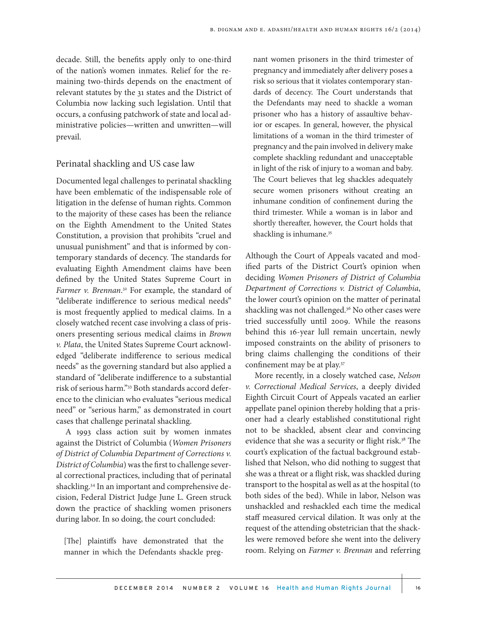decade. Still, the benefits apply only to one-third of the nation's women inmates. Relief for the remaining two-thirds depends on the enactment of relevant statutes by the 31 states and the District of Columbia now lacking such legislation. Until that occurs, a confusing patchwork of state and local administrative policies—written and unwritten—will prevail.

#### Perinatal shackling and US case law

Documented legal challenges to perinatal shackling have been emblematic of the indispensable role of litigation in the defense of human rights. Common to the majority of these cases has been the reliance on the Eighth Amendment to the United States Constitution, a provision that prohibits "cruel and unusual punishment" and that is informed by contemporary standards of decency. The standards for evaluating Eighth Amendment claims have been defined by the United States Supreme Court in Farmer v. Brennan.<sup>32</sup> For example, the standard of "deliberate indifference to serious medical needs" is most frequently applied to medical claims. In a closely watched recent case involving a class of prisoners presenting serious medical claims in *Brown v. Plata*, the United States Supreme Court acknowledged "deliberate indifference to serious medical needs" as the governing standard but also applied a standard of "deliberate indifference to a substantial risk of serious harm."33 Both standards accord deference to the clinician who evaluates "serious medical need" or "serious harm," as demonstrated in court cases that challenge perinatal shackling.

A 1993 class action suit by women inmates against the District of Columbia (*Women Prisoners of District of Columbia Department of Corrections v. District of Columbia*) was the first to challenge several correctional practices, including that of perinatal shackling.<sup>34</sup> In an important and comprehensive decision, Federal District Judge June L. Green struck down the practice of shackling women prisoners during labor. In so doing, the court concluded:

[The] plaintiffs have demonstrated that the manner in which the Defendants shackle pregnant women prisoners in the third trimester of pregnancy and immediately after delivery poses a risk so serious that it violates contemporary standards of decency. The Court understands that the Defendants may need to shackle a woman prisoner who has a history of assaultive behavior or escapes. In general, however, the physical limitations of a woman in the third trimester of pregnancy and the pain involved in delivery make complete shackling redundant and unacceptable in light of the risk of injury to a woman and baby. The Court believes that leg shackles adequately secure women prisoners without creating an inhumane condition of confinement during the third trimester. While a woman is in labor and shortly thereafter, however, the Court holds that shackling is inhumane.<sup>35</sup>

Although the Court of Appeals vacated and modified parts of the District Court's opinion when deciding *Women Prisoners of District of Columbia Department of Corrections v. District of Columbia*, the lower court's opinion on the matter of perinatal shackling was not challenged.<sup>36</sup> No other cases were tried successfully until 2009. While the reasons behind this 16-year lull remain uncertain, newly imposed constraints on the ability of prisoners to bring claims challenging the conditions of their confinement may be at play.37

More recently, in a closely watched case, *Nelson v. Correctional Medical Services*, a deeply divided Eighth Circuit Court of Appeals vacated an earlier appellate panel opinion thereby holding that a prisoner had a clearly established constitutional right not to be shackled, absent clear and convincing evidence that she was a security or flight risk.<sup>38</sup> The court's explication of the factual background established that Nelson, who did nothing to suggest that she was a threat or a flight risk, was shackled during transport to the hospital as well as at the hospital (to both sides of the bed). While in labor, Nelson was unshackled and reshackled each time the medical staff measured cervical dilation. It was only at the request of the attending obstetrician that the shackles were removed before she went into the delivery room. Relying on *Farmer v. Brennan* and referring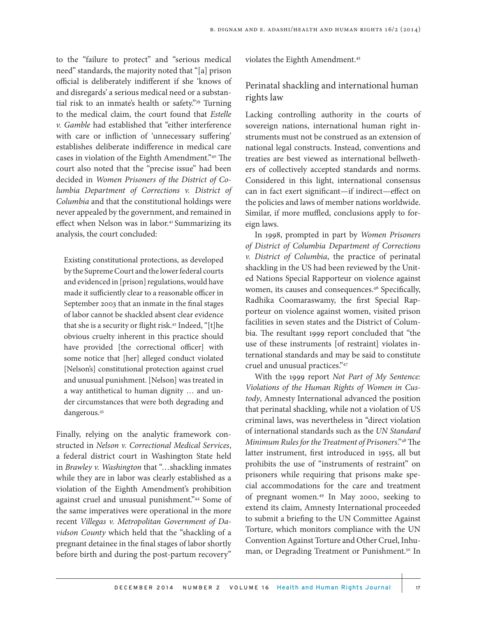to the "failure to protect" and "serious medical need" standards, the majority noted that "[a] prison official is deliberately indifferent if she 'knows of and disregards' a serious medical need or a substantial risk to an inmate's health or safety."39 Turning to the medical claim, the court found that *Estelle v. Gamble* had established that "either interference with care or infliction of 'unnecessary suffering' establishes deliberate indifference in medical care cases in violation of the Eighth Amendment."40 The court also noted that the "precise issue" had been decided in *Women Prisoners of the District of Columbia Department of Corrections v. District of Columbia* and that the constitutional holdings were never appealed by the government, and remained in effect when Nelson was in labor.<sup>41</sup> Summarizing its analysis, the court concluded:

Existing constitutional protections, as developed by the Supreme Court and the lower federal courts and evidenced in [prison] regulations, would have made it sufficiently clear to a reasonable officer in September 2003 that an inmate in the final stages of labor cannot be shackled absent clear evidence that she is a security or flight risk.<sup>42</sup> Indeed, "[t]he obvious cruelty inherent in this practice should have provided [the correctional officer] with some notice that [her] alleged conduct violated [Nelson's] constitutional protection against cruel and unusual punishment. [Nelson] was treated in a way antithetical to human dignity … and under circumstances that were both degrading and dangerous.43

Finally, relying on the analytic framework constructed in *Nelson v. Correctional Medical Services*, a federal district court in Washington State held in *Brawley v. Washington* that "…shackling inmates while they are in labor was clearly established as a violation of the Eighth Amendment's prohibition against cruel and unusual punishment."44 Some of the same imperatives were operational in the more recent *Villegas v. Metropolitan Government of Davidson County* which held that the "shackling of a pregnant detainee in the final stages of labor shortly before birth and during the post-partum recovery"

violates the Eighth Amendment.45

## Perinatal shackling and international human rights law

Lacking controlling authority in the courts of sovereign nations, international human right instruments must not be construed as an extension of national legal constructs. Instead, conventions and treaties are best viewed as international bellwethers of collectively accepted standards and norms. Considered in this light, international consensus can in fact exert significant—if indirect—effect on the policies and laws of member nations worldwide. Similar, if more muffled, conclusions apply to foreign laws.

In 1998, prompted in part by *Women Prisoners of District of Columbia Department of Corrections v. District of Columbia*, the practice of perinatal shackling in the US had been reviewed by the United Nations Special Rapporteur on violence against women, its causes and consequences.46 Specifically, Radhika Coomaraswamy, the first Special Rapporteur on violence against women, visited prison facilities in seven states and the District of Columbia. The resultant 1999 report concluded that "the use of these instruments [of restraint] violates international standards and may be said to constitute cruel and unusual practices."47

With the 1999 report *Not Part of My Sentence: Violations of the Human Rights of Women in Custody*, Amnesty International advanced the position that perinatal shackling, while not a violation of US criminal laws, was nevertheless in "direct violation of international standards such as the *UN Standard Minimum Rules for the Treatment of Prisoners*."48 The latter instrument, first introduced in 1955, all but prohibits the use of "instruments of restraint" on prisoners while requiring that prisons make special accommodations for the care and treatment of pregnant women.49 In May 2000, seeking to extend its claim, Amnesty International proceeded to submit a briefing to the UN Committee Against Torture, which monitors compliance with the UN Convention Against Torture and Other Cruel, Inhuman, or Degrading Treatment or Punishment.<sup>50</sup> In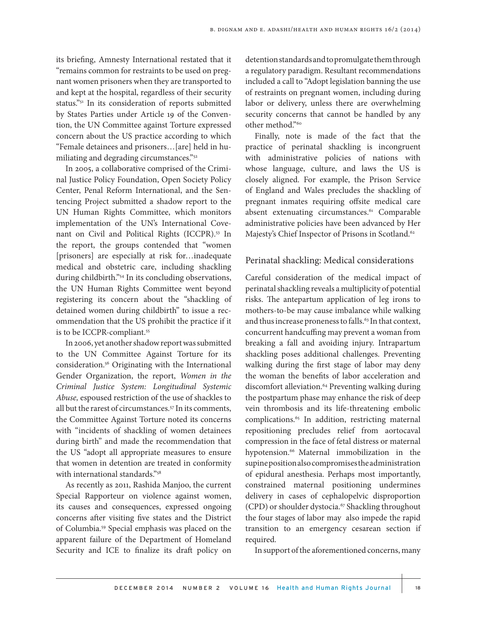its briefing, Amnesty International restated that it "remains common for restraints to be used on pregnant women prisoners when they are transported to and kept at the hospital, regardless of their security status."51 In its consideration of reports submitted by States Parties under Article 19 of the Convention, the UN Committee against Torture expressed concern about the US practice according to which "Female detainees and prisoners…[are] held in humiliating and degrading circumstances."52

In 2005, a collaborative comprised of the Criminal Justice Policy Foundation, Open Society Policy Center, Penal Reform International, and the Sentencing Project submitted a shadow report to the UN Human Rights Committee, which monitors implementation of the UN's International Covenant on Civil and Political Rights (ICCPR).53 In the report, the groups contended that "women [prisoners] are especially at risk for…inadequate medical and obstetric care, including shackling during childbirth."54 In its concluding observations, the UN Human Rights Committee went beyond registering its concern about the "shackling of detained women during childbirth" to issue a recommendation that the US prohibit the practice if it is to be ICCPR-compliant.<sup>55</sup>

In 2006, yet another shadow report was submitted to the UN Committee Against Torture for its consideration.56 Originating with the International Gender Organization, the report, *Women in the Criminal Justice System: Longitudinal Systemic Abuse,* espoused restriction of the use of shackles to all but the rarest of circumstances.<sup>57</sup> In its comments, the Committee Against Torture noted its concerns with "incidents of shackling of women detainees during birth" and made the recommendation that the US "adopt all appropriate measures to ensure that women in detention are treated in conformity with international standards."58

As recently as 2011, Rashida Manjoo, the current Special Rapporteur on violence against women, its causes and consequences, expressed ongoing concerns after visiting five states and the District of Columbia.59 Special emphasis was placed on the apparent failure of the Department of Homeland Security and ICE to finalize its draft policy on

detention standards and to promulgate them through a regulatory paradigm. Resultant recommendations included a call to "Adopt legislation banning the use of restraints on pregnant women, including during labor or delivery, unless there are overwhelming security concerns that cannot be handled by any other method."60

Finally, note is made of the fact that the practice of perinatal shackling is incongruent with administrative policies of nations with whose language, culture, and laws the US is closely aligned. For example, the Prison Service of England and Wales precludes the shackling of pregnant inmates requiring offsite medical care absent extenuating circumstances.<sup>61</sup> Comparable administrative policies have been advanced by Her Majesty's Chief Inspector of Prisons in Scotland.<sup>62</sup>

## Perinatal shackling: Medical considerations

Careful consideration of the medical impact of perinatal shackling reveals a multiplicity of potential risks. The antepartum application of leg irons to mothers-to-be may cause imbalance while walking and thus increase proneness to falls.<sup>63</sup> In that context, concurrent handcuffing may prevent a woman from breaking a fall and avoiding injury. Intrapartum shackling poses additional challenges. Preventing walking during the first stage of labor may deny the woman the benefits of labor acceleration and discomfort alleviation.64 Preventing walking during the postpartum phase may enhance the risk of deep vein thrombosis and its life-threatening embolic complications.<sup>65</sup> In addition, restricting maternal repositioning precludes relief from aortocaval compression in the face of fetal distress or maternal hypotension.<sup>66</sup> Maternal immobilization in the supine position also compromises the administration of epidural anesthesia. Perhaps most importantly, constrained maternal positioning undermines delivery in cases of cephalopelvic disproportion (CPD) or shoulder dystocia.<sup>67</sup> Shackling throughout the four stages of labor may also impede the rapid transition to an emergency cesarean section if required.

In support of the aforementioned concerns, many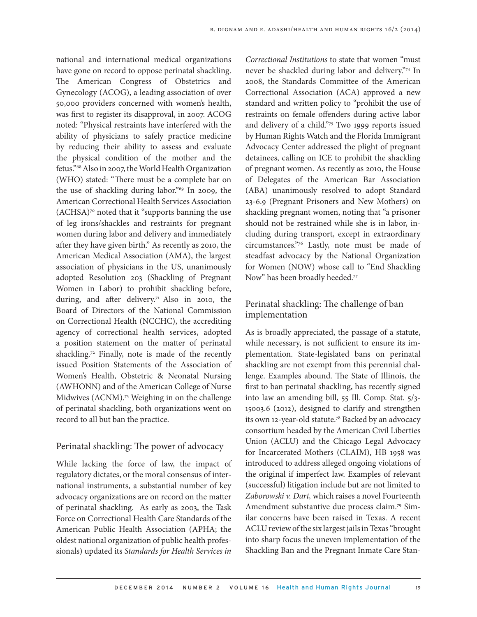national and international medical organizations have gone on record to oppose perinatal shackling. The American Congress of Obstetrics and Gynecology (ACOG), a leading association of over 50,000 providers concerned with women's health, was first to register its disapproval, in 2007. ACOG noted: "Physical restraints have interfered with the ability of physicians to safely practice medicine by reducing their ability to assess and evaluate the physical condition of the mother and the fetus."68 Also in 2007, the World Health Organization (WHO) stated: "There must be a complete bar on the use of shackling during labor."69 In 2009, the American Correctional Health Services Association (ACHSA)70 noted that it "supports banning the use of leg irons/shackles and restraints for pregnant women during labor and delivery and immediately after they have given birth." As recently as 2010, the American Medical Association (AMA), the largest association of physicians in the US, unanimously adopted Resolution 203 (Shackling of Pregnant Women in Labor) to prohibit shackling before, during, and after delivery.<sup>71</sup> Also in 2010, the Board of Directors of the National Commission on Correctional Health (NCCHC), the accrediting agency of correctional health services, adopted a position statement on the matter of perinatal shackling.<sup>72</sup> Finally, note is made of the recently issued Position Statements of the Association of Women's Health, Obstetric & Neonatal Nursing (AWHONN) and of the American College of Nurse Midwives (ACNM).<sup>73</sup> Weighing in on the challenge of perinatal shackling, both organizations went on record to all but ban the practice.

### Perinatal shackling: The power of advocacy

While lacking the force of law, the impact of regulatory dictates, or the moral consensus of international instruments, a substantial number of key advocacy organizations are on record on the matter of perinatal shackling. As early as 2003, the Task Force on Correctional Health Care Standards of the American Public Health Association (APHA; the oldest national organization of public health professionals) updated its *Standards for Health Services in* 

*Correctional Institutions* to state that women "must never be shackled during labor and delivery."74 In 2008, the Standards Committee of the American Correctional Association (ACA) approved a new standard and written policy to "prohibit the use of restraints on female offenders during active labor and delivery of a child."75 Two 1999 reports issued by Human Rights Watch and the Florida Immigrant Advocacy Center addressed the plight of pregnant detainees, calling on ICE to prohibit the shackling of pregnant women. As recently as 2010, the House of Delegates of the American Bar Association (ABA) unanimously resolved to adopt Standard 23-6.9 (Pregnant Prisoners and New Mothers) on shackling pregnant women, noting that "a prisoner should not be restrained while she is in labor, including during transport, except in extraordinary circumstances."76 Lastly, note must be made of steadfast advocacy by the National Organization for Women (NOW) whose call to "End Shackling Now" has been broadly heeded.<sup>77</sup>

## Perinatal shackling: The challenge of ban implementation

As is broadly appreciated, the passage of a statute, while necessary, is not sufficient to ensure its implementation. State-legislated bans on perinatal shackling are not exempt from this perennial challenge. Examples abound. The State of Illinois, the first to ban perinatal shackling, has recently signed into law an amending bill, 55 Ill. Comp. Stat. 5/3- 15003.6 (2012), designed to clarify and strengthen its own 12-year-old statute.78 Backed by an advocacy consortium headed by the American Civil Liberties Union (ACLU) and the Chicago Legal Advocacy for Incarcerated Mothers (CLAIM), HB 1958 was introduced to address alleged ongoing violations of the original if imperfect law. Examples of relevant (successful) litigation include but are not limited to *Zaborowski v. Dart,* which raises a novel Fourteenth Amendment substantive due process claim.79 Similar concerns have been raised in Texas. A recent ACLU review of the six largest jails in Texas "brought into sharp focus the uneven implementation of the Shackling Ban and the Pregnant Inmate Care Stan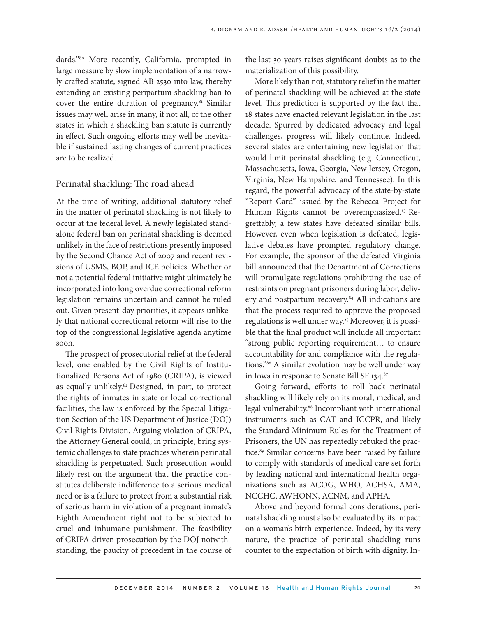dards."80 More recently, California, prompted in large measure by slow implementation of a narrowly crafted statute, signed AB 2530 into law, thereby extending an existing peripartum shackling ban to cover the entire duration of pregnancy.<sup>81</sup> Similar issues may well arise in many, if not all, of the other states in which a shackling ban statute is currently in effect. Such ongoing efforts may well be inevitable if sustained lasting changes of current practices are to be realized.

### Perinatal shackling: The road ahead

At the time of writing, additional statutory relief in the matter of perinatal shackling is not likely to occur at the federal level. A newly legislated standalone federal ban on perinatal shackling is deemed unlikely in the face of restrictions presently imposed by the Second Chance Act of 2007 and recent revisions of USMS, BOP, and ICE policies. Whether or not a potential federal initiative might ultimately be incorporated into long overdue correctional reform legislation remains uncertain and cannot be ruled out. Given present-day priorities, it appears unlikely that national correctional reform will rise to the top of the congressional legislative agenda anytime soon.

The prospect of prosecutorial relief at the federal level, one enabled by the Civil Rights of Institutionalized Persons Act of 1980 (CRIPA), is viewed as equally unlikely.<sup>82</sup> Designed, in part, to protect the rights of inmates in state or local correctional facilities, the law is enforced by the Special Litigation Section of the US Department of Justice (DOJ) Civil Rights Division. Arguing violation of CRIPA, the Attorney General could, in principle, bring systemic challenges to state practices wherein perinatal shackling is perpetuated. Such prosecution would likely rest on the argument that the practice constitutes deliberate indifference to a serious medical need or is a failure to protect from a substantial risk of serious harm in violation of a pregnant inmate's Eighth Amendment right not to be subjected to cruel and inhumane punishment. The feasibility of CRIPA-driven prosecution by the DOJ notwithstanding, the paucity of precedent in the course of

the last 30 years raises significant doubts as to the materialization of this possibility.

More likely than not, statutory relief in the matter of perinatal shackling will be achieved at the state level. This prediction is supported by the fact that 18 states have enacted relevant legislation in the last decade. Spurred by dedicated advocacy and legal challenges, progress will likely continue. Indeed, several states are entertaining new legislation that would limit perinatal shackling (e.g. Connecticut, Massachusetts, Iowa, Georgia, New Jersey, Oregon, Virginia, New Hampshire, and Tennessee). In this regard, the powerful advocacy of the state-by-state "Report Card" issued by the Rebecca Project for Human Rights cannot be overemphasized.<sup>83</sup> Regrettably, a few states have defeated similar bills. However, even when legislation is defeated, legislative debates have prompted regulatory change. For example, the sponsor of the defeated Virginia bill announced that the Department of Corrections will promulgate regulations prohibiting the use of restraints on pregnant prisoners during labor, delivery and postpartum recovery.<sup>84</sup> All indications are that the process required to approve the proposed regulations is well under way.<sup>85</sup> Moreover, it is possible that the final product will include all important "strong public reporting requirement… to ensure accountability for and compliance with the regulations."86 A similar evolution may be well under way in Iowa in response to Senate Bill SF 134.87

Going forward, efforts to roll back perinatal shackling will likely rely on its moral, medical, and legal vulnerability.<sup>88</sup> Incompliant with international instruments such as CAT and ICCPR, and likely the Standard Minimum Rules for the Treatment of Prisoners, the UN has repeatedly rebuked the practice.<sup>89</sup> Similar concerns have been raised by failure to comply with standards of medical care set forth by leading national and international health organizations such as ACOG, WHO, ACHSA, AMA, NCCHC, AWHONN, ACNM, and APHA.

Above and beyond formal considerations, perinatal shackling must also be evaluated by its impact on a woman's birth experience. Indeed, by its very nature, the practice of perinatal shackling runs counter to the expectation of birth with dignity. In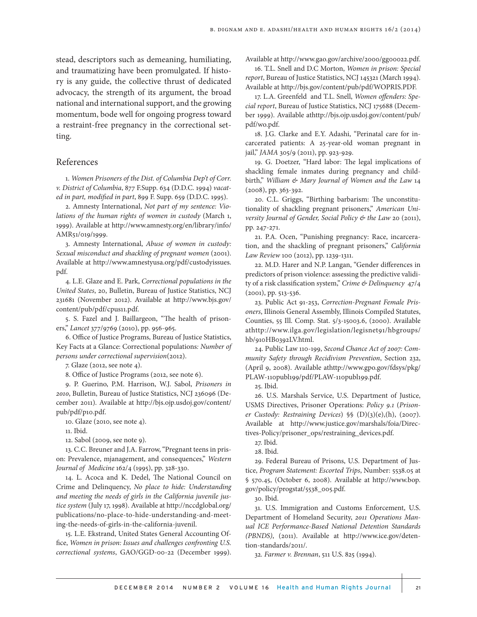stead, descriptors such as demeaning, humiliating, and traumatizing have been promulgated. If history is any guide, the collective thrust of dedicated advocacy, the strength of its argument, the broad national and international support, and the growing momentum, bode well for ongoing progress toward a restraint-free pregnancy in the correctional setting.

#### References

1. *Women Prisoners of the Dist. of Columbia Dep't of Corr. v. District of Columbia*, 877 F.Supp. 634 (D.D.C. 1994) *vacated in part, modified in part*, 899 F. Supp. 659 (D.D.C. 1995).

2. Amnesty International, *Not part of my sentence: Violations of the human rights of women in custody* (March 1, 1999). Available at http://www.amnesty.org/en/library/info/ AMR51/019/1999.

3. Amnesty International, *Abuse of women in custody: Sexual misconduct and shackling of pregnant women* (2001). Available at http://www.amnestyusa.org/pdf/custodyissues. pdf.

4. L.E. Glaze and E. Park, *Correctional populations in the United States*, 20, Bulletin, Bureau of Justice Statistics, NCJ 231681 (November 2012). Available at http://www.bjs.gov/ content/pub/pdf/cpus11.pdf.

5. S. Fazel and J. Baillargeon, "The health of prisoners," *Lancet* 377/9769 (2010), pp. 956-965.

6. Office of Justice Programs, Bureau of Justice Statistics, Key Facts at a Glance: Correctional populations*: Number of persons under correctional supervision*(2012).

7. Glaze (2012, see note 4).

8. Office of Justice Programs (2012, see note 6).

9. P. Guerino, P.M. Harrison, W.J. Sabol, *Prisoners in 2010*, Bulletin, Bureau of Justice Statistics, NCJ 236096 (December 2011). Available at http://bjs.ojp.usdoj.gov/content/ pub/pdf/p10.pdf.

10. Glaze (2010, see note 4).

11. Ibid.

12. Sabol (2009, see note 9).

13. C.C. Breuner and J.A. Farrow, "Pregnant teens in prison: Prevalence, mjanagement, and consequences," *Western Journal of Medicine* 162/4 (1995), pp. 328-330.

14. L. Acoca and K. Dedel, The National Council on Crime and Delinquency, *No place to hide: Understanding and meeting the needs of girls in the California juvenile justice system* (July 17, 1998). Available at http://nccdglobal.org/ publications/no-place-to-hide-understanding-and-meeting-the-needs-of-girls-in-the-california-juvenil.

15. L.E. Ekstrand, United States General Accounting Office, *Women in prison: Issues and challenges confronting U.S. correctional systems*, GAO/GGD-00-22 (December 1999). Available at http://www.gao.gov/archive/2000/gg00022.pdf.

16. T.L. Snell and D.C Morton, *Women in prison: Special report*, Bureau of Justice Statistics, NCJ 145321 (March 1994). Available at http://bjs.gov/content/pub/pdf/WOPRIS.PDF.

17. L.A. Greenfeld and T.L. Snell, *Women offenders: Special report*, Bureau of Justice Statistics, NCJ 175688 (December 1999). Available athttp://bjs.ojp.usdoj.gov/content/pub/ pdf/wo.pdf.

18. J.G. Clarke and E.Y. Adashi, "Perinatal care for incarcerated patients: A 25-year-old woman pregnant in jail," *JAMA* 305/9 (2011), pp. 923-929.

19. G. Doetzer, "Hard labor: The legal implications of shackling female inmates during pregnancy and childbirth," *William & Mary Journal of Women and the Law* 14 (2008), pp. 363-392.

20. C.L. Griggs, "Birthing barbarism: The unconstitutionality of shackling pregnant prisoners," *American University Journal of Gender, Social Policy & the Law* 20 (2011), pp. 247-271.

21. P.A. Ocen, "Punishing pregnancy: Race, incarceration, and the shackling of pregnant prisoners," *California Law Review* 100 (2012), pp. 1239-1311.

22. M.D. Harer and N.P. Langan, "Gender differences in predictors of prison violence: assessing the predictive validity of a risk classification system," *Crime & Delinquency* 47/4 (2001), pp. 513-536.

23. Public Act 91-253, *Correction-Pregnant Female Prisoners*, Illinois General Assembly, Illinois Compiled Statutes, Counties, 55 Ill. Comp. Stat. 5/3-15003.6, (2000). Available athttp://www.ilga.gov/legislation/legisnet91/hbgroups/ hb/910HB0392LV.html.

24. Public Law 110-199, *Second Chance Act of 2007: Community Safety through Recidivism Prevention*, Section 232, (April 9, 2008). Available athttp://www.gpo.gov/fdsys/pkg/ PLAW-110publ199/pdf/PLAW-110publ199.pdf.

25. Ibid.

26. U.S. Marshals Service, U.S. Department of Justice, USMS Directives, Prisoner Operations: *Policy 9.1* (*Prisoner Custody: Restraining Devices*) §§ (D)(3)(e),(h), (2007). Available at http://www.justice.gov/marshals/foia/Directives-Policy/prisoner\_ops/restraining\_devices.pdf.

28. Ibid.

29. Federal Bureau of Prisons, U.S. Department of Justice, *Program Statement: Escorted Trips*, Number: 5538.05 at § 570.45, (October 6, 2008). Available at http://www.bop. gov/policy/progstat/5538\_005.pdf.

30. Ibid.

31. U.S. Immigration and Customs Enforcement, U.S. Department of Homeland Security, *2011 Operations Manual ICE Performance-Based National Detention Standards (PBNDS)*, (2011). Available at http://www.ice.gov/detention-standards/2011/.

32*. Farmer v. Brennan*, 511 U.S. 825 (1994).

<sup>27.</sup> Ibid.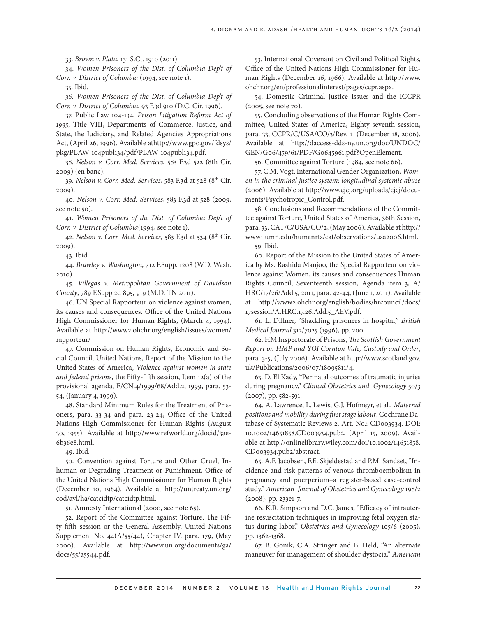33. *Brown v. Plata*, 131 S.Ct. 1910 (2011).

34. *Women Prisoners of the Dist. of Columbia Dep't of Corr. v. District of Columbia* (1994, see note 1).

35. Ibid.

*36. Women Prisoners of the Dist. of Columbia Dep't of Corr. v. District of Columbia*, 93 F.3d 910 (D.C. Cir. 1996).

37. Public Law 104-134, *Prison Litigation Reform Act of 1995*, Title VIII, Departments of Commerce, Justice, and State, the Judiciary, and Related Agencies Appropriations Act, (April 26, 1996). Available athttp://www.gpo.gov/fdsys/ pkg/PLAW-104publ134/pdf/PLAW-104publ134.pdf.

38. *Nelson v. Corr. Med. Services*, 583 F.3d 522 (8th Cir. 2009) (en banc).

39. *Nelson v. Corr. Med. Services*, 583 F.3d at 528 (8th Cir. 2009).

40. *Nelson v. Corr. Med. Services*, 583 F.3d at 528 (2009, see note 50).

41. *Women Prisoners of the Dist. of Columbia Dep't of Corr. v. District of Columbia*(1994, see note 1).

42. Nelson v. Corr. Med. Services, 583 F.3d at 534 (8<sup>th</sup> Cir. 2009).

43. Ibid.

44. *Brawley v. Washington*, 712 F.Supp. 1208 (W.D. Wash. 2010).

45. *Villegas v. Metropolitan Government of Davidson County*, 789 F.Supp.2d 895, 919 (M.D. TN 2011).

46. UN Special Rapporteur on violence against women, its causes and consequences. Office of the United Nations High Commissioner for Human Rights, (March 4, 1994). Available at http://www2.ohchr.org/english/issues/women/ rapporteur/

47. Commission on Human Rights, Economic and Social Council, United Nations, Report of the Mission to the United States of America, *Violence against women in state and federal prisons*, the Fifty-fifth session, Item 12(a) of the provisional agenda, E/CN.4/1999/68/Add.2, 1999, para. 53- 54, (January 4, 1999).

48. Standard Minimum Rules for the Treatment of Prisoners, para. 33-34 and para. 23-24, Office of the United Nations High Commissioner for Human Rights (August 30, 1955). Available at http://www.refworld.org/docid/3ae-6b36e8.html.

49. Ibid.

50. Convention against Torture and Other Cruel, Inhuman or Degrading Treatment or Punishment, Office of the United Nations High Commissioner for Human Rights (December 10, 1984). Available at http://untreaty.un.org/ cod/avl/ha/catcidtp/catcidtp.html.

51. Amnesty International (2000, see note 65).

52. Report of the Committee against Torture, The Fifty-fifth session or the General Assembly, United Nations Supplement No. 44(A/55/44), Chapter IV, para. 179, (May 2000). Available at http://www.un.org/documents/ga/ docs/55/a5544.pdf.

53. International Covenant on Civil and Political Rights, Office of the United Nations High Commissioner for Human Rights (December 16, 1966). Available at http://www. ohchr.org/en/professionalinterest/pages/ccpr.aspx.

54. Domestic Criminal Justice Issues and the ICCPR (2005, see note 70).

55. Concluding observations of the Human Rights Committee, United States of America, Eighty-seventh session, para. 33, CCPR/C/USA/CO/3/Rev. 1 (December 18, 2006). Available at http://daccess-dds-ny.un.org/doc/UNDOC/ GEN/G06/459/61/PDF/G0645961.pdf?OpenElement.

56. Committee against Torture (1984, see note 66).

57. C.M. Vogt, International Gender Organization, *Women in the criminal justice system: longitudinal systemic abuse* (2006). Available at http://www.cjcj.org/uploads/cjcj/documents/Psychotropic\_Control.pdf.

58. Conclusions and Recommendations of the Committee against Torture, United States of America, 36th Session, para. 33, CAT/C/USA/CO/2, (May 2006). Available at http:// www1.umn.edu/humanrts/cat/observations/usa2006.html.

59. Ibid.

60. Report of the Mission to the United States of America by Ms. Rashida Manjoo, the Special Rapporteur on violence against Women, its causes and consequences Human Rights Council, Seventeenth session, Agenda item 3, A/ HRC/17/26/Add.5, 2011, para. 42-44, (June 1, 2011). Available at http://www2.ohchr.org/english/bodies/hrcouncil/docs/ 17session/A.HRC.17.26.Add.5\_AEV.pdf.

61. L. Dillner, "Shackling prisoners in hospital," *British Medical Journal* 312/7025 (1996), pp. 200.

62. HM Inspectorate of Prisons, *The Scottish Government Report on HMP and YOI Cornton Vale, Custody and Order*, para. 3-5, (July 2006). Available at http://www.scotland.gov. uk/Publications/2006/07/18095811/4.

63. D. El Kady, "Perinatal outcomes of traumatic injuries during pregnancy," *Clinical Obstetrics and Gynecology* 50/3 (2007), pp. 582-591.

64. A. Lawrence, L. Lewis, G.J. Hofmeyr, et al., *Maternal positions and mobility during first stage labour*. Cochrane Database of Systematic Reviews 2. Art. No.: CD003934. DOI: 10.1002/14651858.CD003934.pub2, (April 15, 2009). Available at http://onlinelibrary.wiley.com/doi/10.1002/14651858. CD003934.pub2/abstract.

65. A.F. Jacobsen, F.E. Skjeldestad and P.M. Sandset, "Incidence and risk patterns of venous thromboembolism in pregnancy and puerperium–a register-based case-control study," *American Journal of Obstetrics and Gynecology* 198/2 (2008), pp. 233e1-7.

66. K.R. Simpson and D.C. James, "Efficacy of intrauterine resuscitation techniques in improving fetal oxygen status during labor," *Obstetrics and Gynecology* 105/6 (2005), pp. 1362-1368.

67. B. Gonik, C.A. Stringer and B. Held, "An alternate maneuver for management of shoulder dystocia," *American*